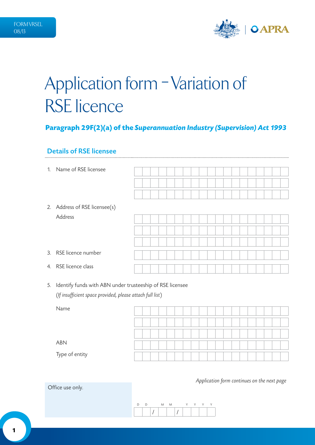

# Application form - Variation of RSE licence

# **Paragraph 29F(2)(a) of the** *Superannuation Industry (Supervision) Act 1993*

### Details of RSE licensee

| 1. | Name of RSE licensee          |  |  |  |  |  |  |  |  |  |  |
|----|-------------------------------|--|--|--|--|--|--|--|--|--|--|
|    |                               |  |  |  |  |  |  |  |  |  |  |
|    |                               |  |  |  |  |  |  |  |  |  |  |
|    | 2. Address of RSE licensee(s) |  |  |  |  |  |  |  |  |  |  |
|    | Address                       |  |  |  |  |  |  |  |  |  |  |
|    |                               |  |  |  |  |  |  |  |  |  |  |
|    |                               |  |  |  |  |  |  |  |  |  |  |
|    | 3. RSE licence number         |  |  |  |  |  |  |  |  |  |  |
|    | 4. RSE licence class          |  |  |  |  |  |  |  |  |  |  |

5. Identify funds with ABN under trusteeship of RSE licensee (*If insufficient space provided, please attach full list*)

| Name           |  |  |  |  |  |  |  |  |  |  |
|----------------|--|--|--|--|--|--|--|--|--|--|
|                |  |  |  |  |  |  |  |  |  |  |
|                |  |  |  |  |  |  |  |  |  |  |
|                |  |  |  |  |  |  |  |  |  |  |
| ABN            |  |  |  |  |  |  |  |  |  |  |
| Type of entity |  |  |  |  |  |  |  |  |  |  |

*Application form continues on the next page*

Office use only.

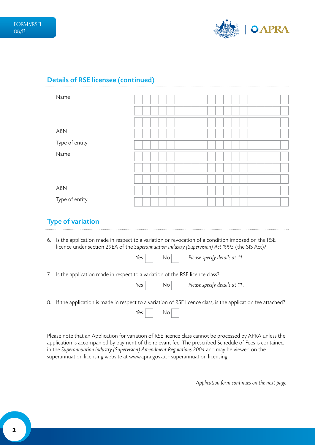

## Details of RSE licensee (continued)

| Name           |  |  |  |  |  |  |  |  |  |  |
|----------------|--|--|--|--|--|--|--|--|--|--|
|                |  |  |  |  |  |  |  |  |  |  |
|                |  |  |  |  |  |  |  |  |  |  |
| ABN            |  |  |  |  |  |  |  |  |  |  |
| Type of entity |  |  |  |  |  |  |  |  |  |  |
| Name           |  |  |  |  |  |  |  |  |  |  |
|                |  |  |  |  |  |  |  |  |  |  |
|                |  |  |  |  |  |  |  |  |  |  |
| ABN            |  |  |  |  |  |  |  |  |  |  |
| Type of entity |  |  |  |  |  |  |  |  |  |  |

### Type of variation

- 6. Is the application made in respect to a variation or revocation of a condition imposed on the RSE licence under section 29EA of the *Superannuation Industry (Supervision) Act 1993* (the SIS Act)?
- 7. Is the application made in respect to a variation of the RSE licence class?

| Yes<br>Please specify details at 11.<br>No. |  |
|---------------------------------------------|--|
|---------------------------------------------|--|

Yes No *Please specify details at 11*.

8. If the application is made in respect to a variation of RSE licence class, is the application fee attached?

 $Yes \mid$  No

Please note that an Application for variation of RSE licence class cannot be processed by APRA unless the application is accompanied by payment of the relevant fee. The prescribed Schedule of Fees is contained in the *Superannuation Industry (Supervision) Amendment Regulations 2004* and may be viewed on the superannuation licensing website at<www.apra.gov.au> - superannuation licensing.

*Application form continues on the next page*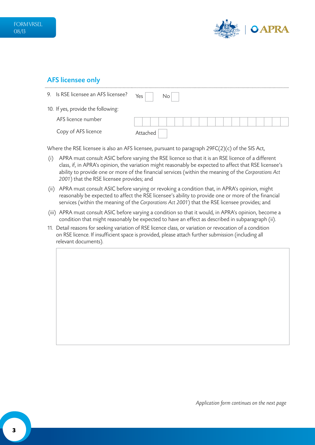

## AFS licensee only

| 9. Is RSE licensee an AFS licensee? | Yes $ $<br>No        |
|-------------------------------------|----------------------|
| 10. If yes, provide the following:  |                      |
| AFS licence number                  | .<br>$1 - 1 - 1 - 1$ |
| Copy of AFS licence                 | Attached             |

Where the RSE licensee is also an AFS licensee, pursuant to paragraph 29FC(2)(c) of the SIS Act,

- (i) APRA must consult ASIC before varying the RSE licence so that it is an RSE licence of a different class, if, in APRA's opinion, the variation might reasonably be expected to affect that RSE licensee's ability to provide one or more of the financial services (within the meaning of the *Corporations Act 2001*) that the RSE licensee provides; and
- (ii) APRA must consult ASIC before varying or revoking a condition that, in APRA's opinion, might reasonably be expected to affect the RSE licensee's ability to provide one or more of the financial services (within the meaning of the *Corporations Act 2001*) that the RSE licensee provides; and
- (iii) APRA must consult ASIC before varying a condition so that it would, in APRA's opinion, become a condition that might reasonably be expected to have an effect as described in subparagraph (ii).
- 11. Detail reasons for seeking variation of RSE licence class, or variation or revocation of a condition on RSE licence. If insufficient space is provided, please attach further submission (including all relevant documents).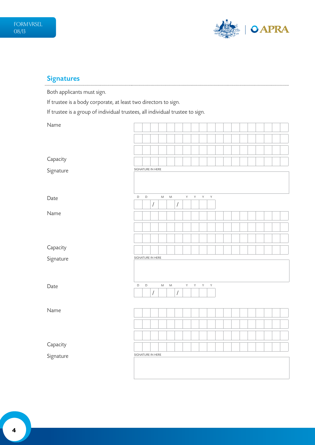

# Signatures

Both applicants must sign.

If trustee is a body corporate, at least two directors to sign.

If trustee is a group of individual trustees, all individual trustee to sign.

| Name      |                   |             |                      |           |           |                      |   |   |     |   |  |  |  |  |  |
|-----------|-------------------|-------------|----------------------|-----------|-----------|----------------------|---|---|-----|---|--|--|--|--|--|
|           |                   |             |                      |           |           |                      |   |   |     |   |  |  |  |  |  |
|           |                   |             |                      |           |           |                      |   |   |     |   |  |  |  |  |  |
| Capacity  |                   |             |                      |           |           |                      |   |   |     |   |  |  |  |  |  |
| Signature | SIGNATURE IN HERE |             |                      |           |           |                      |   |   |     |   |  |  |  |  |  |
|           |                   |             |                      |           |           |                      |   |   |     |   |  |  |  |  |  |
| Date      | $\mathsf D$       | $\mathsf D$ |                      | ${\sf M}$ | ${\sf M}$ |                      | Y | Y | Y Y |   |  |  |  |  |  |
|           |                   |             | $\sqrt{\phantom{a}}$ |           |           | $\sqrt{\phantom{a}}$ |   |   |     |   |  |  |  |  |  |
| Name      |                   |             |                      |           |           |                      |   |   |     |   |  |  |  |  |  |
|           |                   |             |                      |           |           |                      |   |   |     |   |  |  |  |  |  |
|           |                   |             |                      |           |           |                      |   |   |     |   |  |  |  |  |  |
| Capacity  |                   |             |                      |           |           |                      |   |   |     |   |  |  |  |  |  |
| Signature | SIGNATURE IN HERE |             |                      |           |           |                      |   |   |     |   |  |  |  |  |  |
|           |                   |             |                      |           |           |                      |   |   |     |   |  |  |  |  |  |
| Date      | $\mathsf D$       | $\mathsf D$ |                      | ${\sf M}$ | ${\sf M}$ |                      | Y | Y | Y.  | Y |  |  |  |  |  |
|           |                   |             | $\overline{I}$       |           |           | $\sqrt{\phantom{a}}$ |   |   |     |   |  |  |  |  |  |
|           |                   |             |                      |           |           |                      |   |   |     |   |  |  |  |  |  |
| Name      |                   |             |                      |           |           |                      |   |   |     |   |  |  |  |  |  |
|           |                   |             |                      |           |           |                      |   |   |     |   |  |  |  |  |  |
|           |                   |             |                      |           |           |                      |   |   |     |   |  |  |  |  |  |
| Capacity  |                   |             |                      |           |           |                      |   |   |     |   |  |  |  |  |  |
| Signature | SIGNATURE IN HERE |             |                      |           |           |                      |   |   |     |   |  |  |  |  |  |
|           |                   |             |                      |           |           |                      |   |   |     |   |  |  |  |  |  |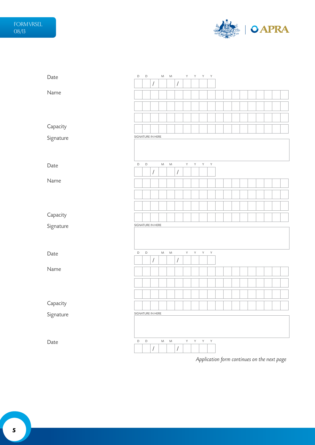

| Date      | $\mathsf D$ | D                 |                      | M         | M           |                      | Y.           | Y Y Y        |              |              |  |  |  |  |  |
|-----------|-------------|-------------------|----------------------|-----------|-------------|----------------------|--------------|--------------|--------------|--------------|--|--|--|--|--|
|           |             |                   | $\sqrt{\phantom{a}}$ |           |             | $\sqrt{\phantom{a}}$ |              |              |              |              |  |  |  |  |  |
| Name      |             |                   |                      |           |             |                      |              |              |              |              |  |  |  |  |  |
|           |             |                   |                      |           |             |                      |              |              |              |              |  |  |  |  |  |
|           |             |                   |                      |           |             |                      |              |              |              |              |  |  |  |  |  |
| Capacity  |             |                   |                      |           |             |                      |              |              |              |              |  |  |  |  |  |
| Signature |             | SIGNATURE IN HERE |                      |           |             |                      |              |              |              |              |  |  |  |  |  |
|           |             |                   |                      |           |             |                      |              |              |              |              |  |  |  |  |  |
| Date      | $\mathsf D$ | $\mathsf D$       |                      | ${\sf M}$ | ${\sf M}$   |                      | $\mathsf{Y}$ | Y            | $\mathsf{Y}$ | $\mathsf{Y}$ |  |  |  |  |  |
|           |             |                   | $\sqrt{\phantom{a}}$ |           |             | $\sqrt{\phantom{a}}$ |              |              |              |              |  |  |  |  |  |
| Name      |             |                   |                      |           |             |                      |              |              |              |              |  |  |  |  |  |
|           |             |                   |                      |           |             |                      |              |              |              |              |  |  |  |  |  |
|           |             |                   |                      |           |             |                      |              |              |              |              |  |  |  |  |  |
| Capacity  |             |                   |                      |           |             |                      |              |              |              |              |  |  |  |  |  |
| Signature |             | SIGNATURE IN HERE |                      |           |             |                      |              |              |              |              |  |  |  |  |  |
|           |             |                   |                      |           |             |                      |              |              |              |              |  |  |  |  |  |
| Date      | $\mathsf D$ | $\mathsf D$       |                      | ${\sf M}$ | ${\sf M}$   |                      | $\mathsf{Y}$ | $\mathsf{Y}$ | $\mathsf{Y}$ | $\mathsf{Y}$ |  |  |  |  |  |
|           |             |                   | $\sqrt{2}$           |           |             | $\sqrt{2}$           |              |              |              |              |  |  |  |  |  |
| Name      |             |                   |                      |           |             |                      |              |              |              |              |  |  |  |  |  |
|           |             |                   |                      |           |             |                      |              |              |              |              |  |  |  |  |  |
|           |             |                   |                      |           |             |                      |              |              |              |              |  |  |  |  |  |
| Capacity  |             |                   |                      |           |             |                      |              |              |              |              |  |  |  |  |  |
| Signature |             | SIGNATURE IN HERE |                      |           |             |                      |              |              |              |              |  |  |  |  |  |
|           |             |                   |                      |           |             |                      |              |              |              |              |  |  |  |  |  |
| Date      | D           | $\mathsf D$       | $\sqrt{2}$           | M         | $M_{\odot}$ | $\sqrt{2}$           | Y.           | Y            | $\mathsf{Y}$ | Y            |  |  |  |  |  |

*Application form continues on the next page*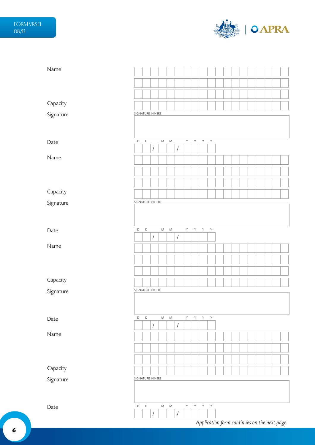

| Name      |                   |             |                      |           |           |                      |             |              |              |              |  |  |  |  |  |
|-----------|-------------------|-------------|----------------------|-----------|-----------|----------------------|-------------|--------------|--------------|--------------|--|--|--|--|--|
|           |                   |             |                      |           |           |                      |             |              |              |              |  |  |  |  |  |
|           |                   |             |                      |           |           |                      |             |              |              |              |  |  |  |  |  |
| Capacity  |                   |             |                      |           |           |                      |             |              |              |              |  |  |  |  |  |
| Signature | SIGNATURE IN HERE |             |                      |           |           |                      |             |              |              |              |  |  |  |  |  |
|           |                   |             |                      |           |           |                      |             |              |              |              |  |  |  |  |  |
|           |                   |             |                      |           |           |                      |             |              |              |              |  |  |  |  |  |
| Date      | D                 | $\mathsf D$ |                      | ${\sf M}$ | ${\sf M}$ |                      | Y           | $\mathsf{Y}$ | $\mathsf{Y}$ | $\mathsf Y$  |  |  |  |  |  |
| Name      |                   |             | $\sqrt{\phantom{a}}$ |           |           | $\sqrt{\phantom{a}}$ |             |              |              |              |  |  |  |  |  |
|           |                   |             |                      |           |           |                      |             |              |              |              |  |  |  |  |  |
|           |                   |             |                      |           |           |                      |             |              |              |              |  |  |  |  |  |
|           |                   |             |                      |           |           |                      |             |              |              |              |  |  |  |  |  |
| Capacity  |                   |             |                      |           |           |                      |             |              |              |              |  |  |  |  |  |
| Signature | SIGNATURE IN HERE |             |                      |           |           |                      |             |              |              |              |  |  |  |  |  |
|           |                   |             |                      |           |           |                      |             |              |              |              |  |  |  |  |  |
| Date      | $\mathsf D$       | $\mathsf D$ |                      | ${\sf M}$ | ${\sf M}$ |                      | Y.          | Y            | Y            | $\mathsf{Y}$ |  |  |  |  |  |
|           |                   |             | $\sqrt{\phantom{a}}$ |           |           | $\sqrt{\phantom{a}}$ |             |              |              |              |  |  |  |  |  |
| Name      |                   |             |                      |           |           |                      |             |              |              |              |  |  |  |  |  |
|           |                   |             |                      |           |           |                      |             |              |              |              |  |  |  |  |  |
|           |                   |             |                      |           |           |                      |             |              |              |              |  |  |  |  |  |
| Capacity  |                   |             |                      |           |           |                      |             |              |              |              |  |  |  |  |  |
| Signature | SIGNATURE IN HERE |             |                      |           |           |                      |             |              |              |              |  |  |  |  |  |
|           |                   |             |                      |           |           |                      |             |              |              |              |  |  |  |  |  |
|           |                   |             |                      |           |           |                      |             |              |              |              |  |  |  |  |  |
| Date      | D                 | $\mathsf D$ | $\sqrt{\phantom{a}}$ | M         | ${\sf M}$ | $\sqrt{\phantom{a}}$ | Y.          | Y            | $Y - Y$      |              |  |  |  |  |  |
| Name      |                   |             |                      |           |           |                      |             |              |              |              |  |  |  |  |  |
|           |                   |             |                      |           |           |                      |             |              |              |              |  |  |  |  |  |
|           |                   |             |                      |           |           |                      |             |              |              |              |  |  |  |  |  |
|           |                   |             |                      |           |           |                      |             |              |              |              |  |  |  |  |  |
| Capacity  |                   |             |                      |           |           |                      |             |              |              |              |  |  |  |  |  |
| Signature | SIGNATURE IN HERE |             |                      |           |           |                      |             |              |              |              |  |  |  |  |  |
|           |                   |             |                      |           |           |                      |             |              |              |              |  |  |  |  |  |
| Date      | $\mathsf D$       | $\mathsf D$ |                      | ${\sf M}$ | ${\sf M}$ |                      | $\mathsf Y$ | $\mathsf{Y}$ | $\mathsf{Y}$ | $\mathsf Y$  |  |  |  |  |  |
|           |                   |             | $\sqrt{\phantom{a}}$ |           |           | $\sqrt{\phantom{a}}$ |             |              |              |              |  |  |  |  |  |